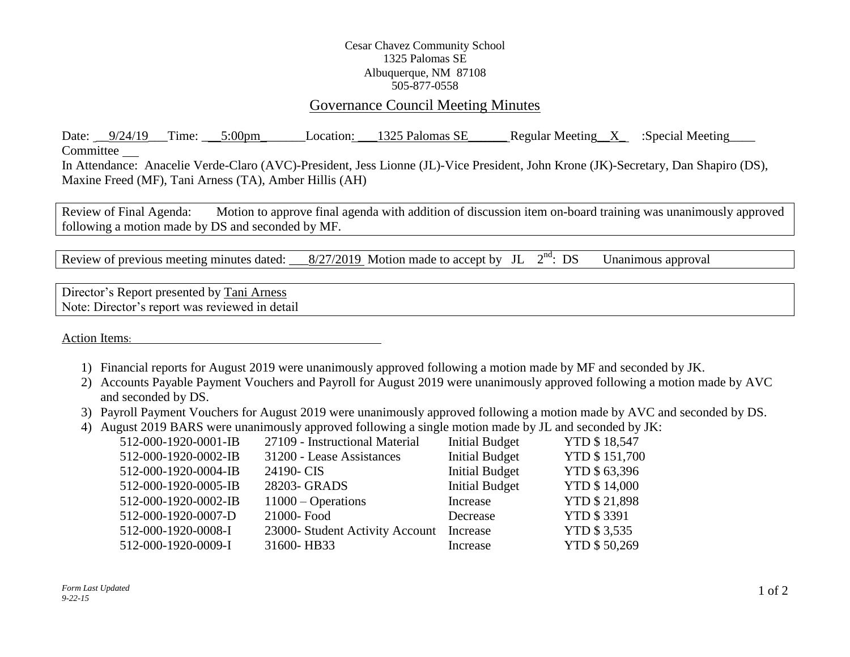## Cesar Chavez Community School 1325 Palomas SE Albuquerque, NM 87108 505-877-0558

## Governance Council Meeting Minutes

Date:  $9/24/19$  Time:  $5:00 \text{pm}$  Location:  $1325$  Palomas SE Regular Meeting X :Special Meeting Committee In Attendance: Anacelie Verde-Claro (AVC)-President, Jess Lionne (JL)-Vice President, John Krone (JK)-Secretary, Dan Shapiro (DS),

Maxine Freed (MF), Tani Arness (TA), Amber Hillis (AH)

Review of Final Agenda: Motion to approve final agenda with addition of discussion item on-board training was unanimously approved following a motion made by DS and seconded by MF.

Review of previous meeting minutes dated:  $\frac{8/27/2019}{8}$  Motion made to accept by JL  $2<sup>nd</sup>$ : DS Unanimous approval

Director's Report presented by Tani Arness Note: Director's report was reviewed in detail

Action Items:

- 1) Financial reports for August 2019 were unanimously approved following a motion made by MF and seconded by JK.
- 2) Accounts Payable Payment Vouchers and Payroll for August 2019 were unanimously approved following a motion made by AVC and seconded by DS.
- 3) Payroll Payment Vouchers for August 2019 were unanimously approved following a motion made by AVC and seconded by DS.
- 4) August 2019 BARS were unanimously approved following a single motion made by JL and seconded by JK:

| 512-000-1920-0001-IB | 27109 - Instructional Material  | <b>Initial Budget</b> | <b>YTD \$18,547</b>  |
|----------------------|---------------------------------|-----------------------|----------------------|
| 512-000-1920-0002-IB | 31200 - Lease Assistances       | <b>Initial Budget</b> | <b>YTD \$151,700</b> |
| 512-000-1920-0004-IB | 24190-CIS                       | <b>Initial Budget</b> | YTD \$63,396         |
| 512-000-1920-0005-IB | 28203- GRADS                    | <b>Initial Budget</b> | <b>YTD \$14,000</b>  |
| 512-000-1920-0002-IB | $11000 - Operations$            | Increase              | <b>YTD \$21,898</b>  |
| 512-000-1920-0007-D  | 21000-Food                      | Decrease              | <b>YTD \$3391</b>    |
| 512-000-1920-0008-I  | 23000- Student Activity Account | Increase              | <b>YTD \$3.535</b>   |
| 512-000-1920-0009-I  | 31600-HB33                      | Increase              | <b>YTD \$50,269</b>  |